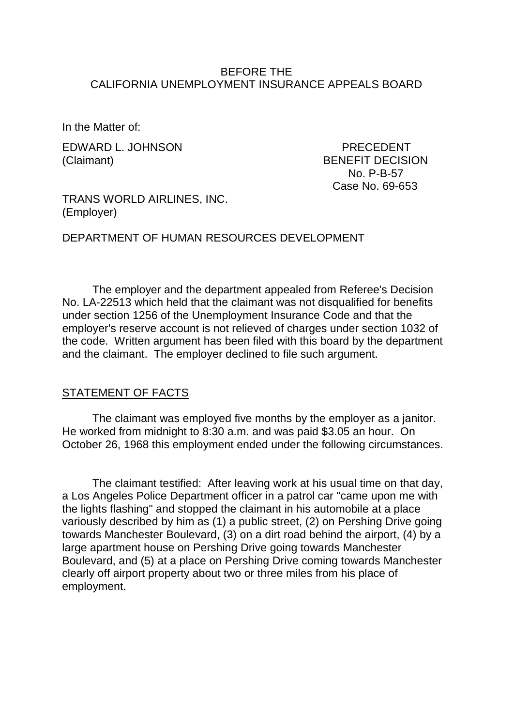### BEFORE THE CALIFORNIA UNEMPLOYMENT INSURANCE APPEALS BOARD

In the Matter of:

EDWARD L. JOHNSON PRECEDENT (Claimant) BENEFIT DECISION

 No. P-B-57 Case No. 69-653

TRANS WORLD AIRLINES, INC. (Employer)

DEPARTMENT OF HUMAN RESOURCES DEVELOPMENT

The employer and the department appealed from Referee's Decision No. LA-22513 which held that the claimant was not disqualified for benefits under section 1256 of the Unemployment Insurance Code and that the employer's reserve account is not relieved of charges under section 1032 of the code. Written argument has been filed with this board by the department and the claimant. The employer declined to file such argument.

### STATEMENT OF FACTS

The claimant was employed five months by the employer as a janitor. He worked from midnight to 8:30 a.m. and was paid \$3.05 an hour. On October 26, 1968 this employment ended under the following circumstances.

The claimant testified: After leaving work at his usual time on that day, a Los Angeles Police Department officer in a patrol car "came upon me with the lights flashing" and stopped the claimant in his automobile at a place variously described by him as (1) a public street, (2) on Pershing Drive going towards Manchester Boulevard, (3) on a dirt road behind the airport, (4) by a large apartment house on Pershing Drive going towards Manchester Boulevard, and (5) at a place on Pershing Drive coming towards Manchester clearly off airport property about two or three miles from his place of employment.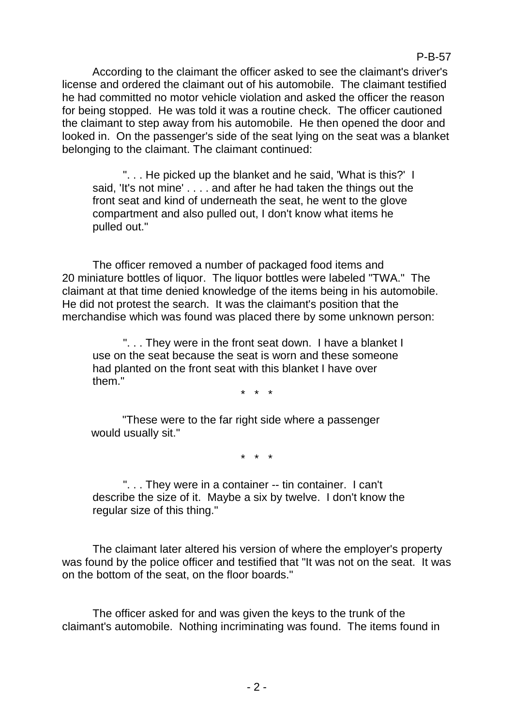According to the claimant the officer asked to see the claimant's driver's license and ordered the claimant out of his automobile. The claimant testified he had committed no motor vehicle violation and asked the officer the reason for being stopped. He was told it was a routine check. The officer cautioned the claimant to step away from his automobile. He then opened the door and looked in. On the passenger's side of the seat lying on the seat was a blanket belonging to the claimant. The claimant continued:

"... He picked up the blanket and he said, 'What is this?' I said, 'It's not mine' . . . . and after he had taken the things out the front seat and kind of underneath the seat, he went to the glove compartment and also pulled out, I don't know what items he pulled out."

The officer removed a number of packaged food items and 20 miniature bottles of liquor. The liquor bottles were labeled "TWA." The claimant at that time denied knowledge of the items being in his automobile. He did not protest the search. It was the claimant's position that the merchandise which was found was placed there by some unknown person:

". . . They were in the front seat down. I have a blanket I use on the seat because the seat is worn and these someone had planted on the front seat with this blanket I have over them."

\* \* \*

"These were to the far right side where a passenger would usually sit."

\* \* \*

". . . They were in a container -- tin container. I can't describe the size of it. Maybe a six by twelve. I don't know the regular size of this thing."

The claimant later altered his version of where the employer's property was found by the police officer and testified that "It was not on the seat. It was on the bottom of the seat, on the floor boards."

The officer asked for and was given the keys to the trunk of the claimant's automobile. Nothing incriminating was found. The items found in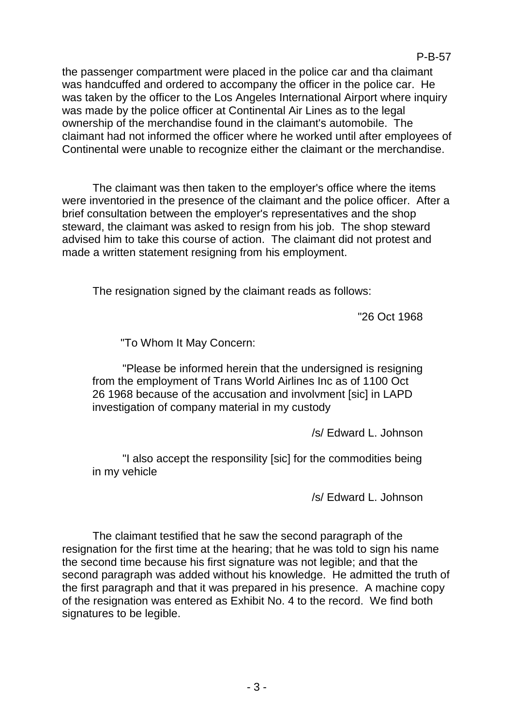the passenger compartment were placed in the police car and tha claimant was handcuffed and ordered to accompany the officer in the police car. He was taken by the officer to the Los Angeles International Airport where inquiry was made by the police officer at Continental Air Lines as to the legal ownership of the merchandise found in the claimant's automobile. The claimant had not informed the officer where he worked until after employees of Continental were unable to recognize either the claimant or the merchandise.

The claimant was then taken to the employer's office where the items were inventoried in the presence of the claimant and the police officer. After a brief consultation between the employer's representatives and the shop steward, the claimant was asked to resign from his job. The shop steward advised him to take this course of action. The claimant did not protest and made a written statement resigning from his employment.

The resignation signed by the claimant reads as follows:

"26 Oct 1968

"To Whom It May Concern:

"Please be informed herein that the undersigned is resigning from the employment of Trans World Airlines Inc as of 1100 Oct 26 1968 because of the accusation and involvment [sic] in LAPD investigation of company material in my custody

/s/ Edward L. Johnson

"I also accept the responsility [sic] for the commodities being in my vehicle

/s/ Edward L. Johnson

The claimant testified that he saw the second paragraph of the resignation for the first time at the hearing; that he was told to sign his name the second time because his first signature was not legible; and that the second paragraph was added without his knowledge. He admitted the truth of the first paragraph and that it was prepared in his presence. A machine copy of the resignation was entered as Exhibit No. 4 to the record. We find both signatures to be legible.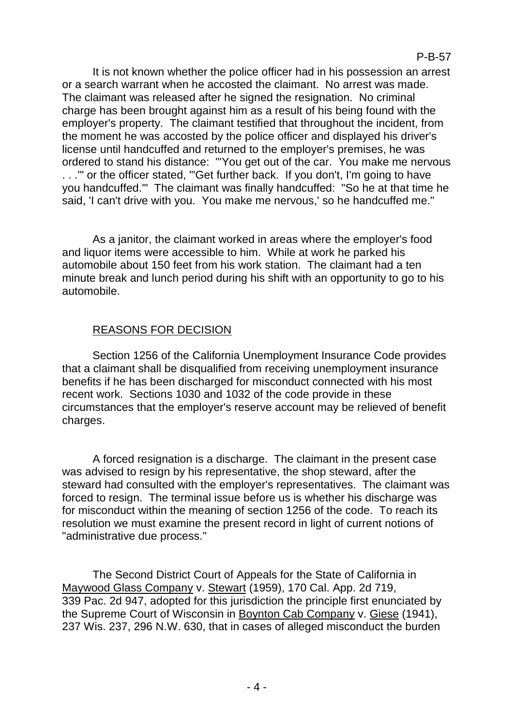It is not known whether the police officer had in his possession an arrest or a search warrant when he accosted the claimant. No arrest was made. The claimant was released after he signed the resignation. No criminal charge has been brought against him as a result of his being found with the employer's property. The claimant testified that throughout the incident, from the moment he was accosted by the police officer and displayed his driver's license until handcuffed and returned to the employer's premises, he was ordered to stand his distance: "'You get out of the car. You make me nervous . . .'" or the officer stated, "'Get further back. If you don't, I'm going to have you handcuffed.'" The claimant was finally handcuffed: "So he at that time he said, 'I can't drive with you. You make me nervous,' so he handcuffed me."

As a janitor, the claimant worked in areas where the employer's food and liquor items were accessible to him. While at work he parked his automobile about 150 feet from his work station. The claimant had a ten minute break and lunch period during his shift with an opportunity to go to his automobile.

# REASONS FOR DECISION

Section 1256 of the California Unemployment Insurance Code provides that a claimant shall be disqualified from receiving unemployment insurance benefits if he has been discharged for misconduct connected with his most recent work. Sections 1030 and 1032 of the code provide in these circumstances that the employer's reserve account may be relieved of benefit charges.

A forced resignation is a discharge. The claimant in the present case was advised to resign by his representative, the shop steward, after the steward had consulted with the employer's representatives. The claimant was forced to resign. The terminal issue before us is whether his discharge was for misconduct within the meaning of section 1256 of the code. To reach its resolution we must examine the present record in light of current notions of "administrative due process."

The Second District Court of Appeals for the State of California in Maywood Glass Company v. Stewart (1959), 170 Cal. App. 2d 719, 339 Pac. 2d 947, adopted for this jurisdiction the principle first enunciated by the Supreme Court of Wisconsin in Boynton Cab Company v. Giese (1941), 237 Wis. 237, 296 N.W. 630, that in cases of alleged misconduct the burden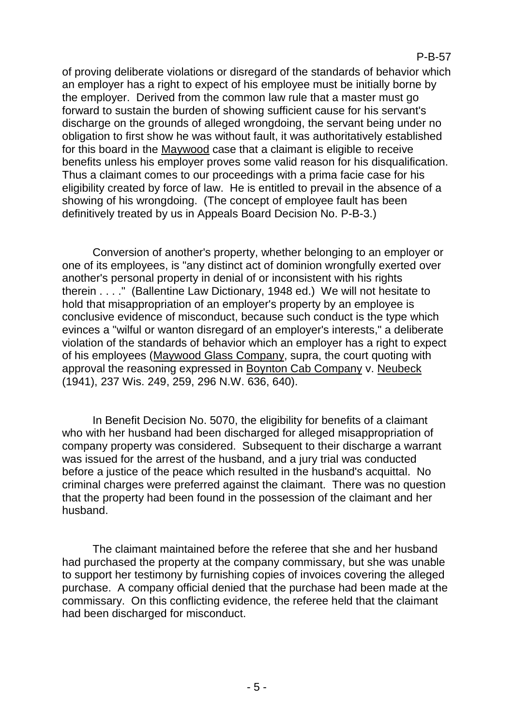of proving deliberate violations or disregard of the standards of behavior which an employer has a right to expect of his employee must be initially borne by the employer. Derived from the common law rule that a master must go forward to sustain the burden of showing sufficient cause for his servant's discharge on the grounds of alleged wrongdoing, the servant being under no obligation to first show he was without fault, it was authoritatively established for this board in the Maywood case that a claimant is eligible to receive benefits unless his employer proves some valid reason for his disqualification. Thus a claimant comes to our proceedings with a prima facie case for his eligibility created by force of law. He is entitled to prevail in the absence of a showing of his wrongdoing. (The concept of employee fault has been definitively treated by us in Appeals Board Decision No. P-B-3.)

Conversion of another's property, whether belonging to an employer or one of its employees, is "any distinct act of dominion wrongfully exerted over another's personal property in denial of or inconsistent with his rights therein . . . ." (Ballentine Law Dictionary, 1948 ed.) We will not hesitate to hold that misappropriation of an employer's property by an employee is conclusive evidence of misconduct, because such conduct is the type which evinces a "wilful or wanton disregard of an employer's interests," a deliberate violation of the standards of behavior which an employer has a right to expect of his employees (Maywood Glass Company, supra, the court quoting with approval the reasoning expressed in Boynton Cab Company v. Neubeck (1941), 237 Wis. 249, 259, 296 N.W. 636, 640).

In Benefit Decision No. 5070, the eligibility for benefits of a claimant who with her husband had been discharged for alleged misappropriation of company property was considered. Subsequent to their discharge a warrant was issued for the arrest of the husband, and a jury trial was conducted before a justice of the peace which resulted in the husband's acquittal. No criminal charges were preferred against the claimant. There was no question that the property had been found in the possession of the claimant and her husband.

The claimant maintained before the referee that she and her husband had purchased the property at the company commissary, but she was unable to support her testimony by furnishing copies of invoices covering the alleged purchase. A company official denied that the purchase had been made at the commissary. On this conflicting evidence, the referee held that the claimant had been discharged for misconduct.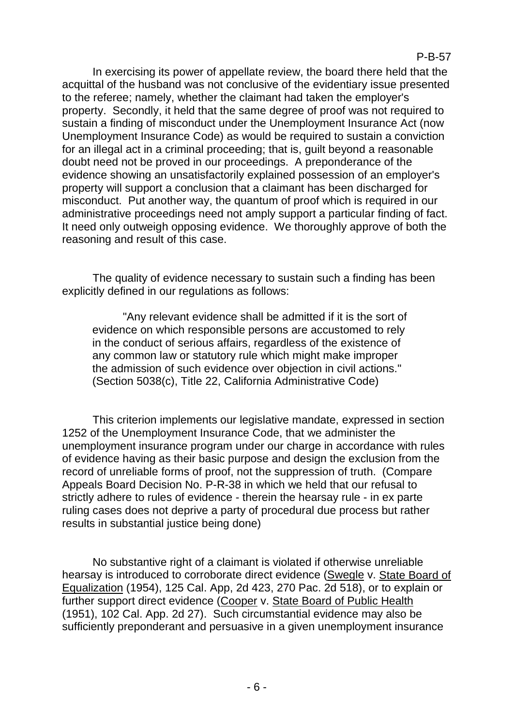In exercising its power of appellate review, the board there held that the acquittal of the husband was not conclusive of the evidentiary issue presented to the referee; namely, whether the claimant had taken the employer's property. Secondly, it held that the same degree of proof was not required to sustain a finding of misconduct under the Unemployment Insurance Act (now Unemployment Insurance Code) as would be required to sustain a conviction for an illegal act in a criminal proceeding; that is, guilt beyond a reasonable doubt need not be proved in our proceedings. A preponderance of the evidence showing an unsatisfactorily explained possession of an employer's property will support a conclusion that a claimant has been discharged for misconduct. Put another way, the quantum of proof which is required in our administrative proceedings need not amply support a particular finding of fact. It need only outweigh opposing evidence. We thoroughly approve of both the reasoning and result of this case.

The quality of evidence necessary to sustain such a finding has been explicitly defined in our regulations as follows:

"Any relevant evidence shall be admitted if it is the sort of evidence on which responsible persons are accustomed to rely in the conduct of serious affairs, regardless of the existence of any common law or statutory rule which might make improper the admission of such evidence over objection in civil actions." (Section 5038(c), Title 22, California Administrative Code)

This criterion implements our legislative mandate, expressed in section 1252 of the Unemployment Insurance Code, that we administer the unemployment insurance program under our charge in accordance with rules of evidence having as their basic purpose and design the exclusion from the record of unreliable forms of proof, not the suppression of truth. (Compare Appeals Board Decision No. P-R-38 in which we held that our refusal to strictly adhere to rules of evidence - therein the hearsay rule - in ex parte ruling cases does not deprive a party of procedural due process but rather results in substantial justice being done)

No substantive right of a claimant is violated if otherwise unreliable hearsay is introduced to corroborate direct evidence (Swegle v. State Board of Equalization (1954), 125 Cal. App, 2d 423, 270 Pac. 2d 518), or to explain or further support direct evidence (Cooper v. State Board of Public Health (1951), 102 Cal. App. 2d 27). Such circumstantial evidence may also be sufficiently preponderant and persuasive in a given unemployment insurance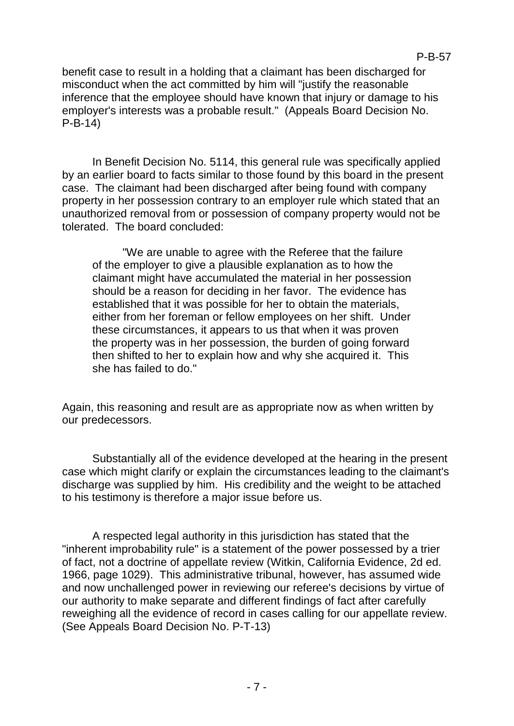benefit case to result in a holding that a claimant has been discharged for misconduct when the act committed by him will "justify the reasonable inference that the employee should have known that injury or damage to his employer's interests was a probable result." (Appeals Board Decision No. P-B-14)

In Benefit Decision No. 5114, this general rule was specifically applied by an earlier board to facts similar to those found by this board in the present case. The claimant had been discharged after being found with company property in her possession contrary to an employer rule which stated that an unauthorized removal from or possession of company property would not be tolerated. The board concluded:

"We are unable to agree with the Referee that the failure of the employer to give a plausible explanation as to how the claimant might have accumulated the material in her possession should be a reason for deciding in her favor. The evidence has established that it was possible for her to obtain the materials, either from her foreman or fellow employees on her shift. Under these circumstances, it appears to us that when it was proven the property was in her possession, the burden of going forward then shifted to her to explain how and why she acquired it. This she has failed to do."

Again, this reasoning and result are as appropriate now as when written by our predecessors.

Substantially all of the evidence developed at the hearing in the present case which might clarify or explain the circumstances leading to the claimant's discharge was supplied by him. His credibility and the weight to be attached to his testimony is therefore a major issue before us.

A respected legal authority in this jurisdiction has stated that the "inherent improbability rule" is a statement of the power possessed by a trier of fact, not a doctrine of appellate review (Witkin, California Evidence, 2d ed. 1966, page 1029). This administrative tribunal, however, has assumed wide and now unchallenged power in reviewing our referee's decisions by virtue of our authority to make separate and different findings of fact after carefully reweighing all the evidence of record in cases calling for our appellate review. (See Appeals Board Decision No. P-T-13)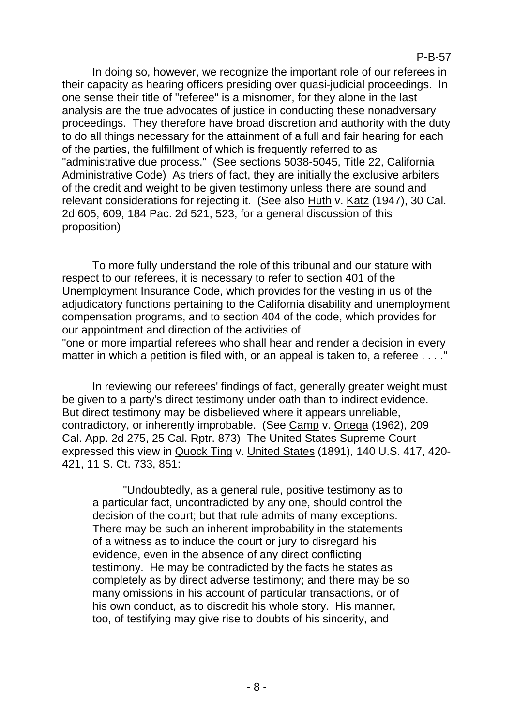In doing so, however, we recognize the important role of our referees in their capacity as hearing officers presiding over quasi-judicial proceedings. In one sense their title of "referee" is a misnomer, for they alone in the last analysis are the true advocates of justice in conducting these nonadversary proceedings. They therefore have broad discretion and authority with the duty to do all things necessary for the attainment of a full and fair hearing for each of the parties, the fulfillment of which is frequently referred to as "administrative due process." (See sections 5038-5045, Title 22, California Administrative Code) As triers of fact, they are initially the exclusive arbiters of the credit and weight to be given testimony unless there are sound and relevant considerations for rejecting it. (See also Huth v. Katz (1947), 30 Cal. 2d 605, 609, 184 Pac. 2d 521, 523, for a general discussion of this proposition)

To more fully understand the role of this tribunal and our stature with respect to our referees, it is necessary to refer to section 401 of the Unemployment Insurance Code, which provides for the vesting in us of the adjudicatory functions pertaining to the California disability and unemployment compensation programs, and to section 404 of the code, which provides for our appointment and direction of the activities of "one or more impartial referees who shall hear and render a decision in every

matter in which a petition is filed with, or an appeal is taken to, a referee . . . ."

In reviewing our referees' findings of fact, generally greater weight must be given to a party's direct testimony under oath than to indirect evidence. But direct testimony may be disbelieved where it appears unreliable, contradictory, or inherently improbable. (See Camp v. Ortega (1962), 209 Cal. App. 2d 275, 25 Cal. Rptr. 873) The United States Supreme Court expressed this view in Quock Ting v. United States (1891), 140 U.S. 417, 420- 421, 11 S. Ct. 733, 851:

"Undoubtedly, as a general rule, positive testimony as to a particular fact, uncontradicted by any one, should control the decision of the court; but that rule admits of many exceptions. There may be such an inherent improbability in the statements of a witness as to induce the court or jury to disregard his evidence, even in the absence of any direct conflicting testimony. He may be contradicted by the facts he states as completely as by direct adverse testimony; and there may be so many omissions in his account of particular transactions, or of his own conduct, as to discredit his whole story. His manner, too, of testifying may give rise to doubts of his sincerity, and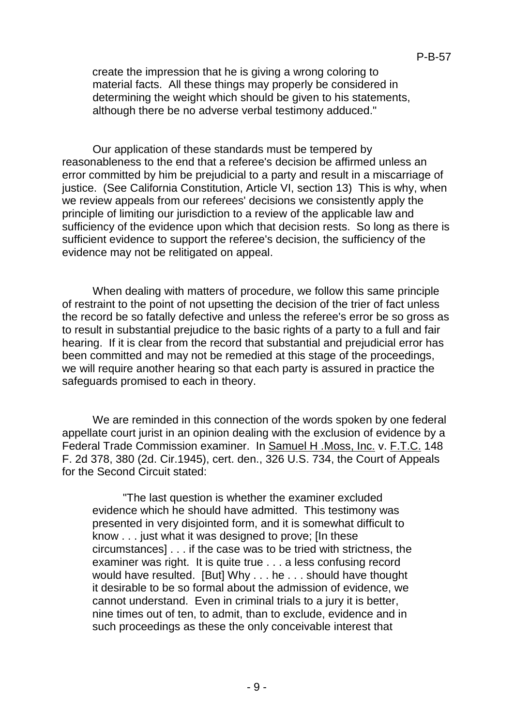create the impression that he is giving a wrong coloring to material facts. All these things may properly be considered in determining the weight which should be given to his statements, although there be no adverse verbal testimony adduced."

Our application of these standards must be tempered by reasonableness to the end that a referee's decision be affirmed unless an error committed by him be prejudicial to a party and result in a miscarriage of justice. (See California Constitution, Article VI, section 13) This is why, when we review appeals from our referees' decisions we consistently apply the principle of limiting our jurisdiction to a review of the applicable law and sufficiency of the evidence upon which that decision rests. So long as there is sufficient evidence to support the referee's decision, the sufficiency of the evidence may not be relitigated on appeal.

When dealing with matters of procedure, we follow this same principle of restraint to the point of not upsetting the decision of the trier of fact unless the record be so fatally defective and unless the referee's error be so gross as to result in substantial prejudice to the basic rights of a party to a full and fair hearing. If it is clear from the record that substantial and prejudicial error has been committed and may not be remedied at this stage of the proceedings, we will require another hearing so that each party is assured in practice the safeguards promised to each in theory.

We are reminded in this connection of the words spoken by one federal appellate court jurist in an opinion dealing with the exclusion of evidence by a Federal Trade Commission examiner. In Samuel H .Moss, Inc. v. F.T.C. 148 F. 2d 378, 380 (2d. Cir.1945), cert. den., 326 U.S. 734, the Court of Appeals for the Second Circuit stated:

"The last question is whether the examiner excluded evidence which he should have admitted. This testimony was presented in very disjointed form, and it is somewhat difficult to know . . . just what it was designed to prove; [In these circumstances] . . . if the case was to be tried with strictness, the examiner was right. It is quite true . . . a less confusing record would have resulted. [But] Why . . . he . . . should have thought it desirable to be so formal about the admission of evidence, we cannot understand. Even in criminal trials to a jury it is better, nine times out of ten, to admit, than to exclude, evidence and in such proceedings as these the only conceivable interest that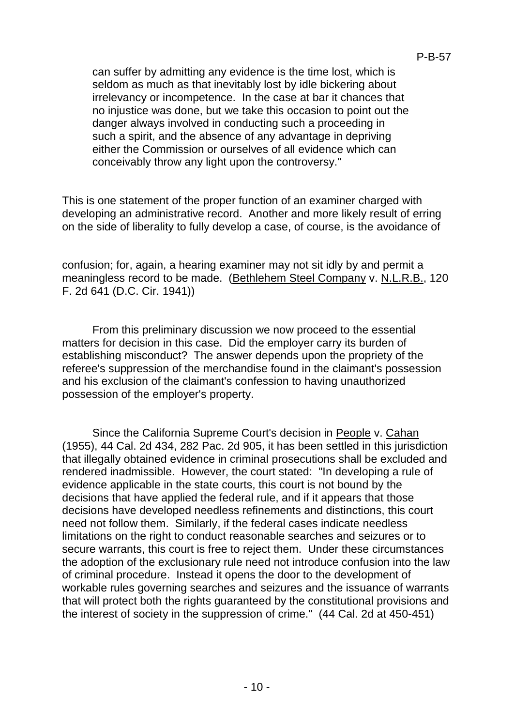can suffer by admitting any evidence is the time lost, which is seldom as much as that inevitably lost by idle bickering about irrelevancy or incompetence. In the case at bar it chances that no injustice was done, but we take this occasion to point out the danger always involved in conducting such a proceeding in such a spirit, and the absence of any advantage in depriving either the Commission or ourselves of all evidence which can conceivably throw any light upon the controversy."

This is one statement of the proper function of an examiner charged with developing an administrative record. Another and more likely result of erring on the side of liberality to fully develop a case, of course, is the avoidance of

confusion; for, again, a hearing examiner may not sit idly by and permit a meaningless record to be made. (Bethlehem Steel Company v. N.L.R.B., 120 F. 2d 641 (D.C. Cir. 1941))

From this preliminary discussion we now proceed to the essential matters for decision in this case. Did the employer carry its burden of establishing misconduct? The answer depends upon the propriety of the referee's suppression of the merchandise found in the claimant's possession and his exclusion of the claimant's confession to having unauthorized possession of the employer's property.

Since the California Supreme Court's decision in People v. Cahan (1955), 44 Cal. 2d 434, 282 Pac. 2d 905, it has been settled in this jurisdiction that illegally obtained evidence in criminal prosecutions shall be excluded and rendered inadmissible. However, the court stated: "In developing a rule of evidence applicable in the state courts, this court is not bound by the decisions that have applied the federal rule, and if it appears that those decisions have developed needless refinements and distinctions, this court need not follow them. Similarly, if the federal cases indicate needless limitations on the right to conduct reasonable searches and seizures or to secure warrants, this court is free to reject them. Under these circumstances the adoption of the exclusionary rule need not introduce confusion into the law of criminal procedure. Instead it opens the door to the development of workable rules governing searches and seizures and the issuance of warrants that will protect both the rights guaranteed by the constitutional provisions and the interest of society in the suppression of crime." (44 Cal. 2d at 450-451)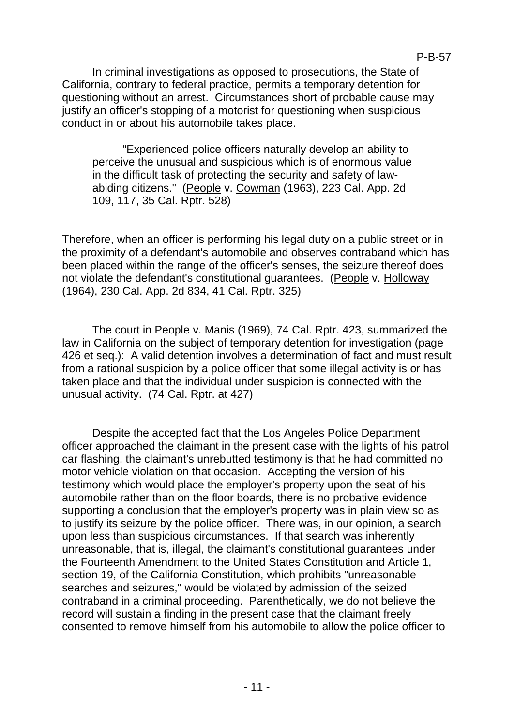In criminal investigations as opposed to prosecutions, the State of California, contrary to federal practice, permits a temporary detention for questioning without an arrest. Circumstances short of probable cause may justify an officer's stopping of a motorist for questioning when suspicious conduct in or about his automobile takes place.

"Experienced police officers naturally develop an ability to perceive the unusual and suspicious which is of enormous value in the difficult task of protecting the security and safety of lawabiding citizens." (People v. Cowman (1963), 223 Cal. App. 2d 109, 117, 35 Cal. Rptr. 528)

Therefore, when an officer is performing his legal duty on a public street or in the proximity of a defendant's automobile and observes contraband which has been placed within the range of the officer's senses, the seizure thereof does not violate the defendant's constitutional guarantees. (People v. Holloway (1964), 230 Cal. App. 2d 834, 41 Cal. Rptr. 325)

The court in People v. Manis (1969), 74 Cal. Rptr. 423, summarized the law in California on the subject of temporary detention for investigation (page 426 et seq.): A valid detention involves a determination of fact and must result from a rational suspicion by a police officer that some illegal activity is or has taken place and that the individual under suspicion is connected with the unusual activity. (74 Cal. Rptr. at 427)

Despite the accepted fact that the Los Angeles Police Department officer approached the claimant in the present case with the lights of his patrol car flashing, the claimant's unrebutted testimony is that he had committed no motor vehicle violation on that occasion. Accepting the version of his testimony which would place the employer's property upon the seat of his automobile rather than on the floor boards, there is no probative evidence supporting a conclusion that the employer's property was in plain view so as to justify its seizure by the police officer. There was, in our opinion, a search upon less than suspicious circumstances. If that search was inherently unreasonable, that is, illegal, the claimant's constitutional guarantees under the Fourteenth Amendment to the United States Constitution and Article 1, section 19, of the California Constitution, which prohibits "unreasonable searches and seizures," would be violated by admission of the seized contraband in a criminal proceeding. Parenthetically, we do not believe the record will sustain a finding in the present case that the claimant freely consented to remove himself from his automobile to allow the police officer to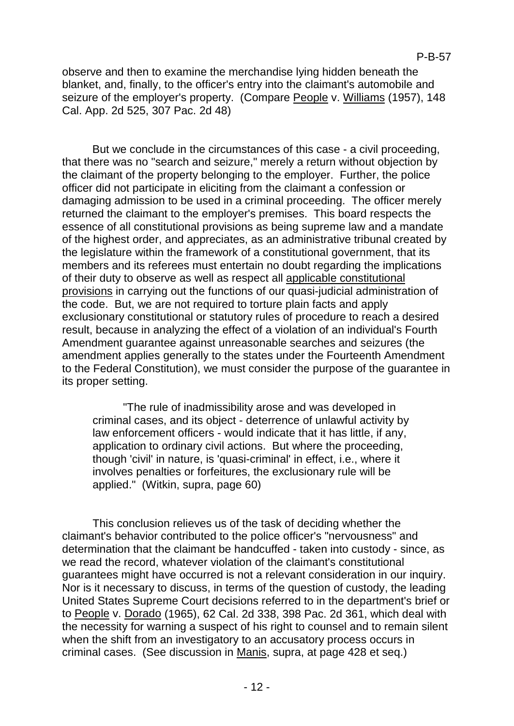observe and then to examine the merchandise lying hidden beneath the blanket, and, finally, to the officer's entry into the claimant's automobile and seizure of the employer's property. (Compare People v. Williams (1957), 148 Cal. App. 2d 525, 307 Pac. 2d 48)

But we conclude in the circumstances of this case - a civil proceeding, that there was no "search and seizure," merely a return without objection by the claimant of the property belonging to the employer. Further, the police officer did not participate in eliciting from the claimant a confession or damaging admission to be used in a criminal proceeding. The officer merely returned the claimant to the employer's premises. This board respects the essence of all constitutional provisions as being supreme law and a mandate of the highest order, and appreciates, as an administrative tribunal created by the legislature within the framework of a constitutional government, that its members and its referees must entertain no doubt regarding the implications of their duty to observe as well as respect all applicable constitutional provisions in carrying out the functions of our quasi-judicial administration of the code. But, we are not required to torture plain facts and apply exclusionary constitutional or statutory rules of procedure to reach a desired result, because in analyzing the effect of a violation of an individual's Fourth Amendment guarantee against unreasonable searches and seizures (the amendment applies generally to the states under the Fourteenth Amendment to the Federal Constitution), we must consider the purpose of the guarantee in its proper setting.

"The rule of inadmissibility arose and was developed in criminal cases, and its object - deterrence of unlawful activity by law enforcement officers - would indicate that it has little, if any, application to ordinary civil actions. But where the proceeding, though 'civil' in nature, is 'quasi-criminal' in effect, i.e., where it involves penalties or forfeitures, the exclusionary rule will be applied." (Witkin, supra, page 60)

This conclusion relieves us of the task of deciding whether the claimant's behavior contributed to the police officer's "nervousness" and determination that the claimant be handcuffed - taken into custody - since, as we read the record, whatever violation of the claimant's constitutional guarantees might have occurred is not a relevant consideration in our inquiry. Nor is it necessary to discuss, in terms of the question of custody, the leading United States Supreme Court decisions referred to in the department's brief or to People v. Dorado (1965), 62 Cal. 2d 338, 398 Pac. 2d 361, which deal with the necessity for warning a suspect of his right to counsel and to remain silent when the shift from an investigatory to an accusatory process occurs in criminal cases. (See discussion in Manis, supra, at page 428 et seq.)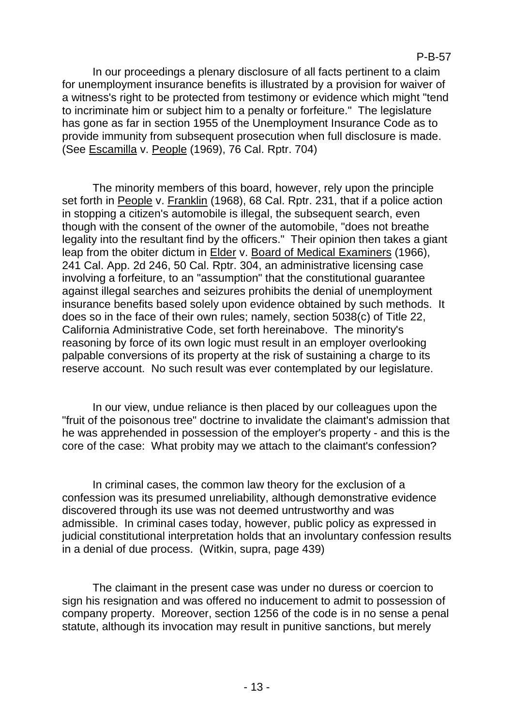### P-B-57

In our proceedings a plenary disclosure of all facts pertinent to a claim for unemployment insurance benefits is illustrated by a provision for waiver of a witness's right to be protected from testimony or evidence which might "tend to incriminate him or subject him to a penalty or forfeiture." The legislature has gone as far in section 1955 of the Unemployment Insurance Code as to provide immunity from subsequent prosecution when full disclosure is made. (See Escamilla v. People (1969), 76 Cal. Rptr. 704)

The minority members of this board, however, rely upon the principle set forth in People v. Franklin (1968), 68 Cal. Rptr. 231, that if a police action in stopping a citizen's automobile is illegal, the subsequent search, even though with the consent of the owner of the automobile, "does not breathe legality into the resultant find by the officers." Their opinion then takes a giant leap from the obiter dictum in Elder v. Board of Medical Examiners (1966), 241 Cal. App. 2d 246, 50 Cal. Rptr. 304, an administrative licensing case involving a forfeiture, to an "assumption" that the constitutional guarantee against illegal searches and seizures prohibits the denial of unemployment insurance benefits based solely upon evidence obtained by such methods. It does so in the face of their own rules; namely, section 5038(c) of Title 22, California Administrative Code, set forth hereinabove. The minority's reasoning by force of its own logic must result in an employer overlooking palpable conversions of its property at the risk of sustaining a charge to its reserve account. No such result was ever contemplated by our legislature.

In our view, undue reliance is then placed by our colleagues upon the "fruit of the poisonous tree" doctrine to invalidate the claimant's admission that he was apprehended in possession of the employer's property - and this is the core of the case: What probity may we attach to the claimant's confession?

In criminal cases, the common law theory for the exclusion of a confession was its presumed unreliability, although demonstrative evidence discovered through its use was not deemed untrustworthy and was admissible. In criminal cases today, however, public policy as expressed in judicial constitutional interpretation holds that an involuntary confession results in a denial of due process. (Witkin, supra, page 439)

The claimant in the present case was under no duress or coercion to sign his resignation and was offered no inducement to admit to possession of company property. Moreover, section 1256 of the code is in no sense a penal statute, although its invocation may result in punitive sanctions, but merely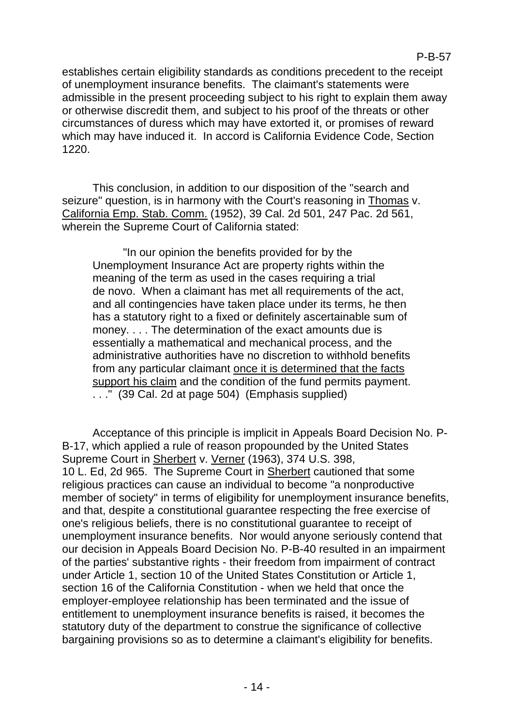establishes certain eligibility standards as conditions precedent to the receipt of unemployment insurance benefits. The claimant's statements were admissible in the present proceeding subject to his right to explain them away or otherwise discredit them, and subject to his proof of the threats or other circumstances of duress which may have extorted it, or promises of reward which may have induced it. In accord is California Evidence Code, Section 1220.

This conclusion, in addition to our disposition of the "search and seizure" question, is in harmony with the Court's reasoning in Thomas v. California Emp. Stab. Comm. (1952), 39 Cal. 2d 501, 247 Pac. 2d 561, wherein the Supreme Court of California stated:

"In our opinion the benefits provided for by the Unemployment Insurance Act are property rights within the meaning of the term as used in the cases requiring a trial de novo. When a claimant has met all requirements of the act, and all contingencies have taken place under its terms, he then has a statutory right to a fixed or definitely ascertainable sum of money. . . . The determination of the exact amounts due is essentially a mathematical and mechanical process, and the administrative authorities have no discretion to withhold benefits from any particular claimant once it is determined that the facts support his claim and the condition of the fund permits payment. . . ." (39 Cal. 2d at page 504) (Emphasis supplied)

Acceptance of this principle is implicit in Appeals Board Decision No. P-B-17, which applied a rule of reason propounded by the United States Supreme Court in Sherbert v. Verner (1963), 374 U.S. 398, 10 L. Ed, 2d 965. The Supreme Court in Sherbert cautioned that some religious practices can cause an individual to become "a nonproductive member of society" in terms of eligibility for unemployment insurance benefits, and that, despite a constitutional guarantee respecting the free exercise of one's religious beliefs, there is no constitutional guarantee to receipt of unemployment insurance benefits. Nor would anyone seriously contend that our decision in Appeals Board Decision No. P-B-40 resulted in an impairment of the parties' substantive rights - their freedom from impairment of contract under Article 1, section 10 of the United States Constitution or Article 1, section 16 of the California Constitution - when we held that once the employer-employee relationship has been terminated and the issue of entitlement to unemployment insurance benefits is raised, it becomes the statutory duty of the department to construe the significance of collective bargaining provisions so as to determine a claimant's eligibility for benefits.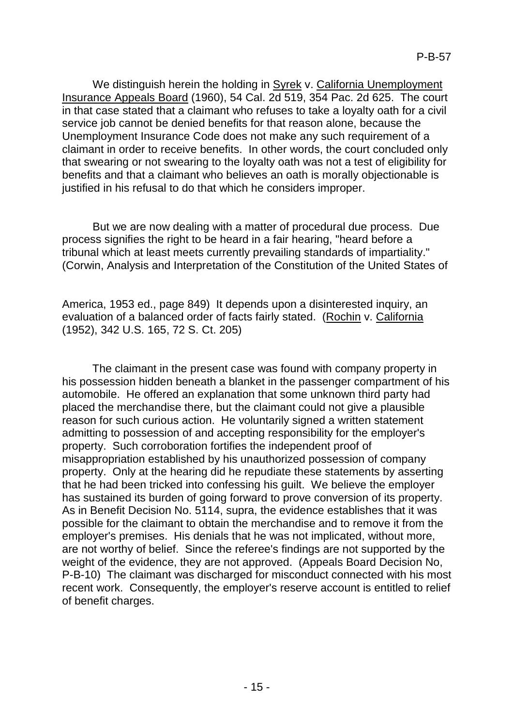We distinguish herein the holding in Syrek v. California Unemployment Insurance Appeals Board (1960), 54 Cal. 2d 519, 354 Pac. 2d 625. The court in that case stated that a claimant who refuses to take a loyalty oath for a civil service job cannot be denied benefits for that reason alone, because the Unemployment Insurance Code does not make any such requirement of a claimant in order to receive benefits. In other words, the court concluded only that swearing or not swearing to the loyalty oath was not a test of eligibility for benefits and that a claimant who believes an oath is morally objectionable is justified in his refusal to do that which he considers improper.

But we are now dealing with a matter of procedural due process. Due process signifies the right to be heard in a fair hearing, "heard before a tribunal which at least meets currently prevailing standards of impartiality." (Corwin, Analysis and Interpretation of the Constitution of the United States of

America, 1953 ed., page 849) It depends upon a disinterested inquiry, an evaluation of a balanced order of facts fairly stated. (Rochin v. California (1952), 342 U.S. 165, 72 S. Ct. 205)

The claimant in the present case was found with company property in his possession hidden beneath a blanket in the passenger compartment of his automobile. He offered an explanation that some unknown third party had placed the merchandise there, but the claimant could not give a plausible reason for such curious action. He voluntarily signed a written statement admitting to possession of and accepting responsibility for the employer's property. Such corroboration fortifies the independent proof of misappropriation established by his unauthorized possession of company property. Only at the hearing did he repudiate these statements by asserting that he had been tricked into confessing his guilt. We believe the employer has sustained its burden of going forward to prove conversion of its property. As in Benefit Decision No. 5114, supra, the evidence establishes that it was possible for the claimant to obtain the merchandise and to remove it from the employer's premises. His denials that he was not implicated, without more, are not worthy of belief. Since the referee's findings are not supported by the weight of the evidence, they are not approved. (Appeals Board Decision No, P-B-10) The claimant was discharged for misconduct connected with his most recent work. Consequently, the employer's reserve account is entitled to relief of benefit charges.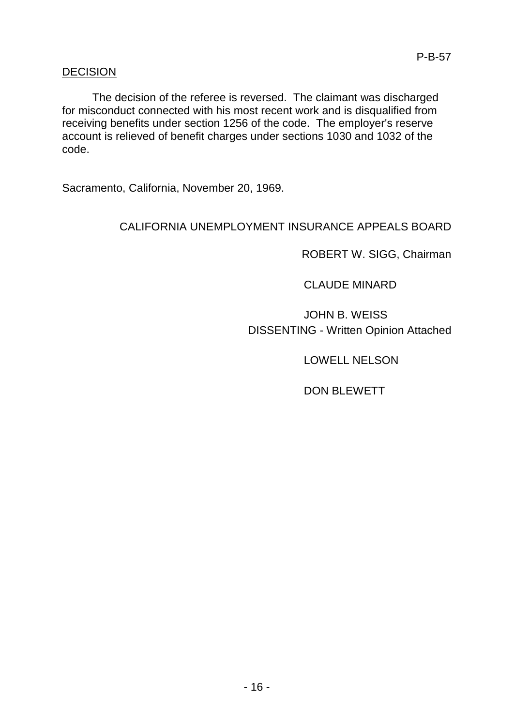## DECISION

The decision of the referee is reversed. The claimant was discharged for misconduct connected with his most recent work and is disqualified from receiving benefits under section 1256 of the code. The employer's reserve account is relieved of benefit charges under sections 1030 and 1032 of the code.

Sacramento, California, November 20, 1969.

# CALIFORNIA UNEMPLOYMENT INSURANCE APPEALS BOARD

ROBERT W. SIGG, Chairman

CLAUDE MINARD

JOHN B. WEISS DISSENTING - Written Opinion Attached

LOWELL NELSON

DON BLEWETT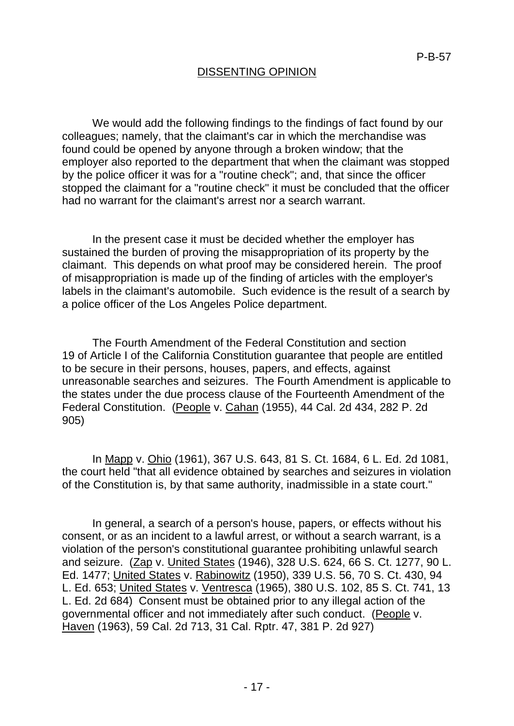# DISSENTING OPINION

We would add the following findings to the findings of fact found by our colleagues; namely, that the claimant's car in which the merchandise was found could be opened by anyone through a broken window; that the employer also reported to the department that when the claimant was stopped by the police officer it was for a "routine check"; and, that since the officer stopped the claimant for a "routine check" it must be concluded that the officer had no warrant for the claimant's arrest nor a search warrant.

In the present case it must be decided whether the employer has sustained the burden of proving the misappropriation of its property by the claimant. This depends on what proof may be considered herein. The proof of misappropriation is made up of the finding of articles with the employer's labels in the claimant's automobile. Such evidence is the result of a search by a police officer of the Los Angeles Police department.

The Fourth Amendment of the Federal Constitution and section 19 of Article I of the California Constitution guarantee that people are entitled to be secure in their persons, houses, papers, and effects, against unreasonable searches and seizures. The Fourth Amendment is applicable to the states under the due process clause of the Fourteenth Amendment of the Federal Constitution. (People v. Cahan (1955), 44 Cal. 2d 434, 282 P. 2d 905)

In Mapp v. Ohio (1961), 367 U.S. 643, 81 S. Ct. 1684, 6 L. Ed. 2d 1081, the court held "that all evidence obtained by searches and seizures in violation of the Constitution is, by that same authority, inadmissible in a state court."

In general, a search of a person's house, papers, or effects without his consent, or as an incident to a lawful arrest, or without a search warrant, is a violation of the person's constitutional guarantee prohibiting unlawful search and seizure. (Zap v. United States (1946), 328 U.S. 624, 66 S. Ct. 1277, 90 L. Ed. 1477; United States v. Rabinowitz (1950), 339 U.S. 56, 70 S. Ct. 430, 94 L. Ed. 653; United States v. Ventresca (1965), 380 U.S. 102, 85 S. Ct. 741, 13 L. Ed. 2d 684) Consent must be obtained prior to any illegal action of the governmental officer and not immediately after such conduct. (People v. Haven (1963), 59 Cal. 2d 713, 31 Cal. Rptr. 47, 381 P. 2d 927)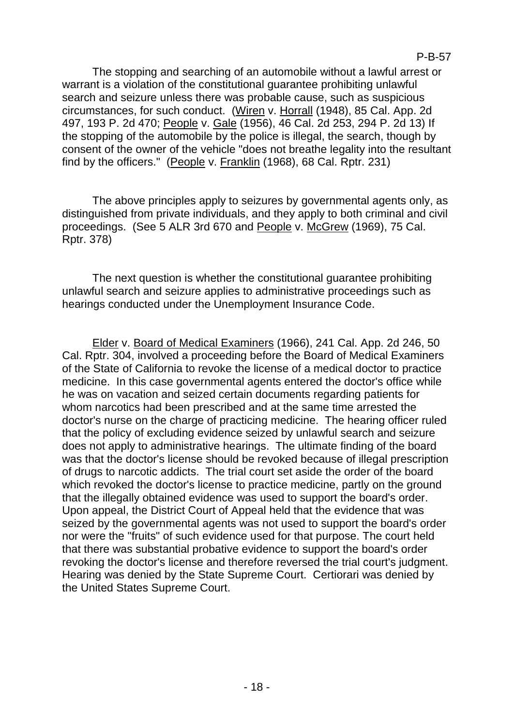The stopping and searching of an automobile without a lawful arrest or warrant is a violation of the constitutional guarantee prohibiting unlawful search and seizure unless there was probable cause, such as suspicious circumstances, for such conduct. (Wiren v. Horrall (1948), 85 Cal. App. 2d 497, 193 P. 2d 470; People v. Gale (1956), 46 Cal. 2d 253, 294 P. 2d 13) If the stopping of the automobile by the police is illegal, the search, though by consent of the owner of the vehicle "does not breathe legality into the resultant find by the officers." (People v. Franklin (1968), 68 Cal. Rptr. 231)

The above principles apply to seizures by governmental agents only, as distinguished from private individuals, and they apply to both criminal and civil proceedings. (See 5 ALR 3rd 670 and People v. McGrew (1969), 75 Cal. Rptr. 378)

The next question is whether the constitutional guarantee prohibiting unlawful search and seizure applies to administrative proceedings such as hearings conducted under the Unemployment Insurance Code.

Elder v. Board of Medical Examiners (1966), 241 Cal. App. 2d 246, 50 Cal. Rptr. 304, involved a proceeding before the Board of Medical Examiners of the State of California to revoke the license of a medical doctor to practice medicine. In this case governmental agents entered the doctor's office while he was on vacation and seized certain documents regarding patients for whom narcotics had been prescribed and at the same time arrested the doctor's nurse on the charge of practicing medicine. The hearing officer ruled that the policy of excluding evidence seized by unlawful search and seizure does not apply to administrative hearings. The ultimate finding of the board was that the doctor's license should be revoked because of illegal prescription of drugs to narcotic addicts. The trial court set aside the order of the board which revoked the doctor's license to practice medicine, partly on the ground that the illegally obtained evidence was used to support the board's order. Upon appeal, the District Court of Appeal held that the evidence that was seized by the governmental agents was not used to support the board's order nor were the "fruits" of such evidence used for that purpose. The court held that there was substantial probative evidence to support the board's order revoking the doctor's license and therefore reversed the trial court's judgment. Hearing was denied by the State Supreme Court. Certiorari was denied by the United States Supreme Court.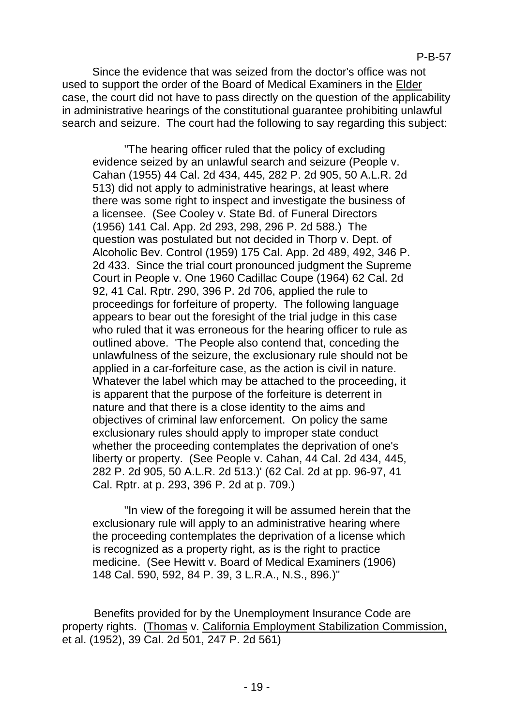Since the evidence that was seized from the doctor's office was not used to support the order of the Board of Medical Examiners in the Elder case, the court did not have to pass directly on the question of the applicability in administrative hearings of the constitutional guarantee prohibiting unlawful search and seizure. The court had the following to say regarding this subject:

"The hearing officer ruled that the policy of excluding evidence seized by an unlawful search and seizure (People v. Cahan (1955) 44 Cal. 2d 434, 445, 282 P. 2d 905, 50 A.L.R. 2d 513) did not apply to administrative hearings, at least where there was some right to inspect and investigate the business of a licensee. (See Cooley v. State Bd. of Funeral Directors (1956) 141 Cal. App. 2d 293, 298, 296 P. 2d 588.) The question was postulated but not decided in Thorp v. Dept. of Alcoholic Bev. Control (1959) 175 Cal. App. 2d 489, 492, 346 P. 2d 433. Since the trial court pronounced judgment the Supreme Court in People v. One 1960 Cadillac Coupe (1964) 62 Cal. 2d 92, 41 Cal. Rptr. 290, 396 P. 2d 706, applied the rule to proceedings for forfeiture of property. The following language appears to bear out the foresight of the trial judge in this case who ruled that it was erroneous for the hearing officer to rule as outlined above. 'The People also contend that, conceding the unlawfulness of the seizure, the exclusionary rule should not be applied in a car-forfeiture case, as the action is civil in nature. Whatever the label which may be attached to the proceeding, it is apparent that the purpose of the forfeiture is deterrent in nature and that there is a close identity to the aims and objectives of criminal law enforcement. On policy the same exclusionary rules should apply to improper state conduct whether the proceeding contemplates the deprivation of one's liberty or property. (See People v. Cahan, 44 Cal. 2d 434, 445, 282 P. 2d 905, 50 A.L.R. 2d 513.)' (62 Cal. 2d at pp. 96-97, 41 Cal. Rptr. at p. 293, 396 P. 2d at p. 709.)

"In view of the foregoing it will be assumed herein that the exclusionary rule will apply to an administrative hearing where the proceeding contemplates the deprivation of a license which is recognized as a property right, as is the right to practice medicine. (See Hewitt v. Board of Medical Examiners (1906) 148 Cal. 590, 592, 84 P. 39, 3 L.R.A., N.S., 896.)"

Benefits provided for by the Unemployment Insurance Code are property rights. (Thomas v. California Employment Stabilization Commission, et al. (1952), 39 Cal. 2d 501, 247 P. 2d 561)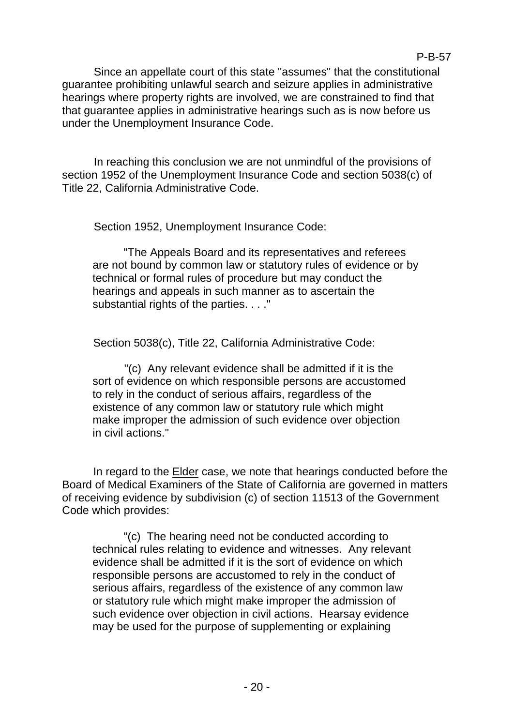## P-B-57

Since an appellate court of this state "assumes" that the constitutional guarantee prohibiting unlawful search and seizure applies in administrative hearings where property rights are involved, we are constrained to find that that guarantee applies in administrative hearings such as is now before us under the Unemployment Insurance Code.

In reaching this conclusion we are not unmindful of the provisions of section 1952 of the Unemployment Insurance Code and section 5038(c) of Title 22, California Administrative Code.

Section 1952, Unemployment Insurance Code:

"The Appeals Board and its representatives and referees are not bound by common law or statutory rules of evidence or by technical or formal rules of procedure but may conduct the hearings and appeals in such manner as to ascertain the substantial rights of the parties. . . ."

Section 5038(c), Title 22, California Administrative Code:

"(c) Any relevant evidence shall be admitted if it is the sort of evidence on which responsible persons are accustomed to rely in the conduct of serious affairs, regardless of the existence of any common law or statutory rule which might make improper the admission of such evidence over objection in civil actions."

In regard to the Elder case, we note that hearings conducted before the Board of Medical Examiners of the State of California are governed in matters of receiving evidence by subdivision (c) of section 11513 of the Government Code which provides:

"(c) The hearing need not be conducted according to technical rules relating to evidence and witnesses. Any relevant evidence shall be admitted if it is the sort of evidence on which responsible persons are accustomed to rely in the conduct of serious affairs, regardless of the existence of any common law or statutory rule which might make improper the admission of such evidence over objection in civil actions. Hearsay evidence may be used for the purpose of supplementing or explaining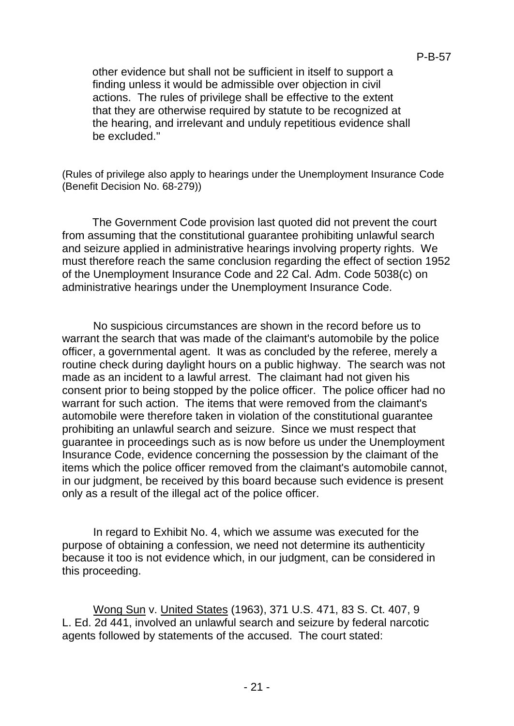other evidence but shall not be sufficient in itself to support a finding unless it would be admissible over objection in civil actions. The rules of privilege shall be effective to the extent that they are otherwise required by statute to be recognized at the hearing, and irrelevant and unduly repetitious evidence shall be excluded."

(Rules of privilege also apply to hearings under the Unemployment Insurance Code (Benefit Decision No. 68-279))

The Government Code provision last quoted did not prevent the court from assuming that the constitutional guarantee prohibiting unlawful search and seizure applied in administrative hearings involving property rights. We must therefore reach the same conclusion regarding the effect of section 1952 of the Unemployment Insurance Code and 22 Cal. Adm. Code 5038(c) on administrative hearings under the Unemployment Insurance Code.

No suspicious circumstances are shown in the record before us to warrant the search that was made of the claimant's automobile by the police officer, a governmental agent. It was as concluded by the referee, merely a routine check during daylight hours on a public highway. The search was not made as an incident to a lawful arrest. The claimant had not given his consent prior to being stopped by the police officer. The police officer had no warrant for such action. The items that were removed from the claimant's automobile were therefore taken in violation of the constitutional guarantee prohibiting an unlawful search and seizure. Since we must respect that guarantee in proceedings such as is now before us under the Unemployment Insurance Code, evidence concerning the possession by the claimant of the items which the police officer removed from the claimant's automobile cannot, in our judgment, be received by this board because such evidence is present only as a result of the illegal act of the police officer.

In regard to Exhibit No. 4, which we assume was executed for the purpose of obtaining a confession, we need not determine its authenticity because it too is not evidence which, in our judgment, can be considered in this proceeding.

Wong Sun v. United States (1963), 371 U.S. 471, 83 S. Ct. 407, 9 L. Ed. 2d 441, involved an unlawful search and seizure by federal narcotic agents followed by statements of the accused. The court stated: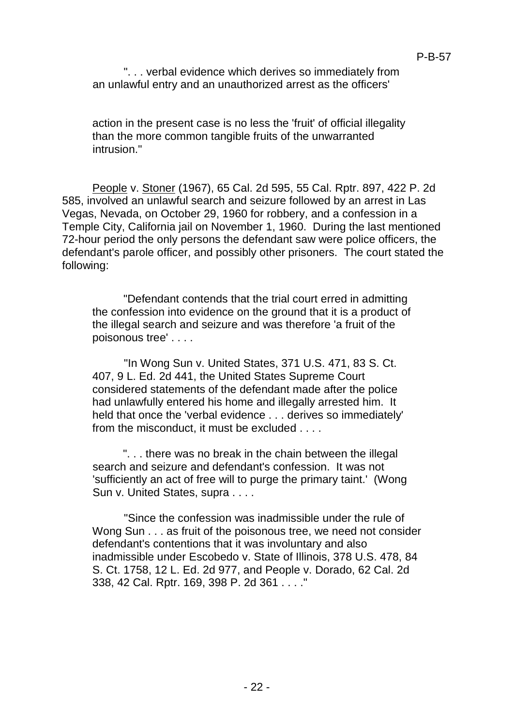". . . verbal evidence which derives so immediately from an unlawful entry and an unauthorized arrest as the officers'

action in the present case is no less the 'fruit' of official illegality than the more common tangible fruits of the unwarranted intrusion<sup>"</sup>

People v. Stoner (1967), 65 Cal. 2d 595, 55 Cal. Rptr. 897, 422 P. 2d 585, involved an unlawful search and seizure followed by an arrest in Las Vegas, Nevada, on October 29, 1960 for robbery, and a confession in a Temple City, California jail on November 1, 1960. During the last mentioned 72-hour period the only persons the defendant saw were police officers, the defendant's parole officer, and possibly other prisoners. The court stated the following:

"Defendant contends that the trial court erred in admitting the confession into evidence on the ground that it is a product of the illegal search and seizure and was therefore 'a fruit of the poisonous tree' . . . .

"In Wong Sun v. United States, 371 U.S. 471, 83 S. Ct. 407, 9 L. Ed. 2d 441, the United States Supreme Court considered statements of the defendant made after the police had unlawfully entered his home and illegally arrested him. It held that once the 'verbal evidence . . . derives so immediately' from the misconduct, it must be excluded . . . .

". . . there was no break in the chain between the illegal search and seizure and defendant's confession. It was not 'sufficiently an act of free will to purge the primary taint.' (Wong Sun v. United States, supra . . . .

"Since the confession was inadmissible under the rule of Wong Sun . . . as fruit of the poisonous tree, we need not consider defendant's contentions that it was involuntary and also inadmissible under Escobedo v. State of Illinois, 378 U.S. 478, 84 S. Ct. 1758, 12 L. Ed. 2d 977, and People v. Dorado, 62 Cal. 2d 338, 42 Cal. Rptr. 169, 398 P. 2d 361 . . . ."